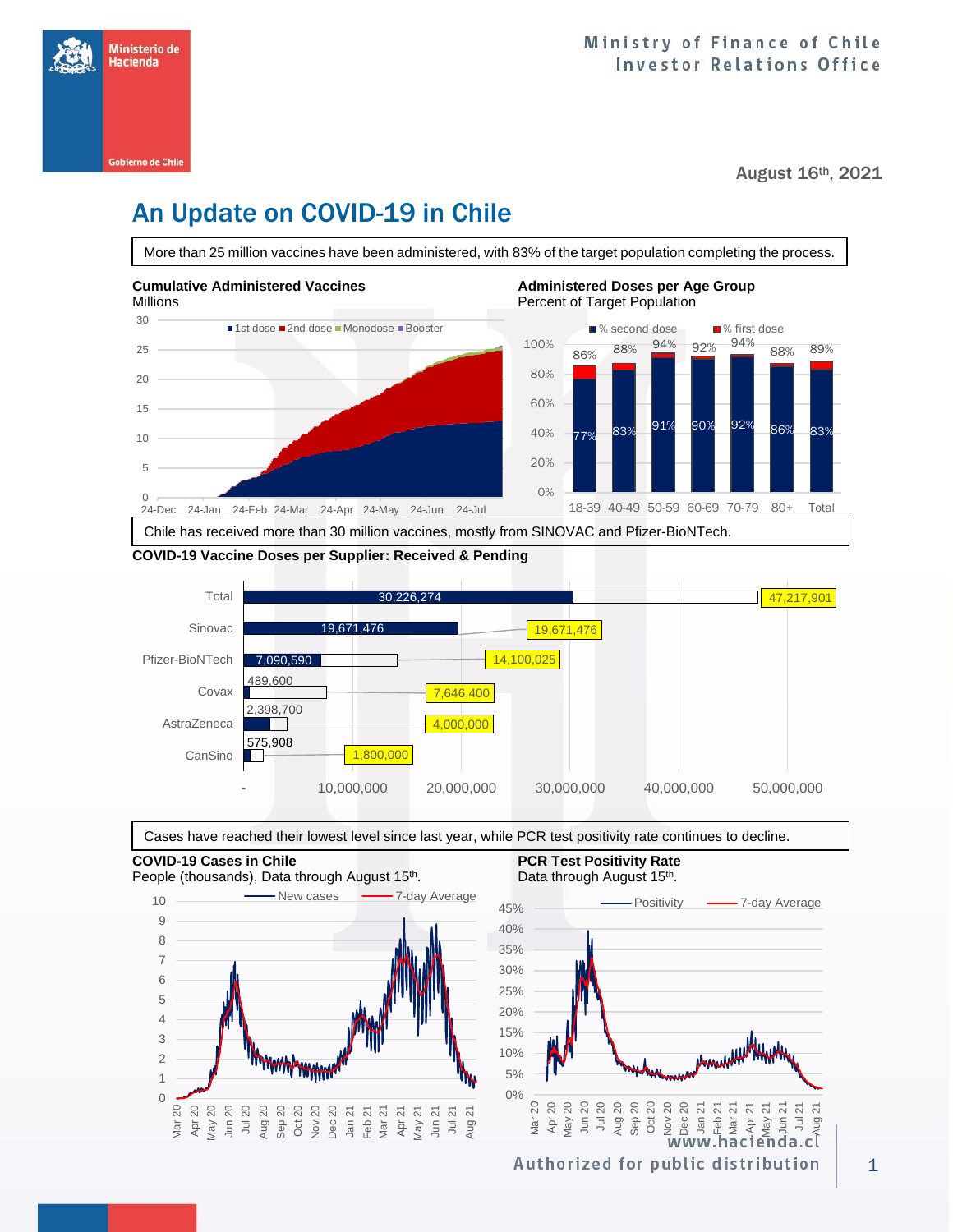

August 16th, 2021

## An Update on COVID-19 in Chile

More than 25 million vaccines have been administered, with 83% of the target population completing the process.



#### **COVID-19 Vaccine Doses per Supplier: Received & Pending**